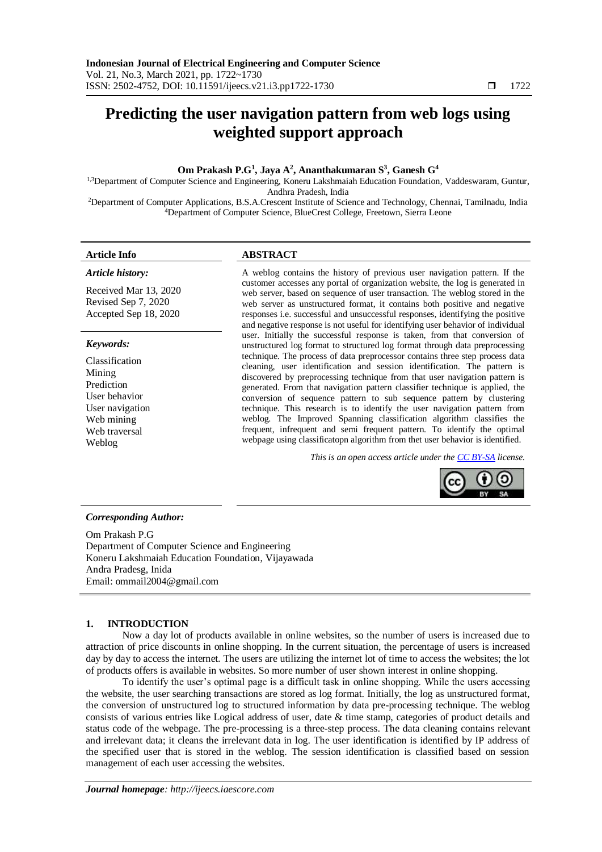# **Predicting the user navigation pattern from web logs using weighted support approach**

# **Om Prakash P.G<sup>1</sup> , Jaya A<sup>2</sup> , Ananthakumaran S<sup>3</sup> , Ganesh G<sup>4</sup>**

1,3Department of Computer Science and Engineering, Koneru Lakshmaiah Education Foundation, Vaddeswaram, Guntur, Andhra Pradesh, India

<sup>2</sup>Department of Computer Applications, B.S.A.Crescent Institute of Science and Technology, Chennai, Tamilnadu, India <sup>4</sup>Department of Computer Science, BlueCrest College, Freetown, Sierra Leone

#### *Article history:*

Received Mar 13, 2020 Revised Sep 7, 2020 Accepted Sep 18, 2020

#### *Keywords:*

Classification Mining Prediction User behavior User navigation Web mining Web traversal Weblog

# **Article Info ABSTRACT**

A weblog contains the history of previous user navigation pattern. If the customer accesses any portal of organization website, the log is generated in web server, based on sequence of user transaction. The weblog stored in the web server as unstructured format, it contains both positive and negative responses i.e. successful and unsuccessful responses, identifying the positive and negative response is not useful for identifying user behavior of individual user. Initially the successful response is taken, from that conversion of unstructured log format to structured log format through data preprocessing technique. The process of data preprocessor contains three step process data cleaning, user identification and session identification. The pattern is discovered by preprocessing technique from that user navigation pattern is generated. From that navigation pattern classifier technique is applied, the conversion of sequence pattern to sub sequence pattern by clustering technique. This research is to identify the user navigation pattern from weblog. The Improved Spanning classification algorithm classifies the frequent, infrequent and semi frequent pattern. To identify the optimal webpage using classificatopn algorithm from thet user behavior is identified.

*This is an open access article under the [CC BY-SA](https://creativecommons.org/licenses/by-sa/4.0/) license.*



#### *Corresponding Author:*

Om Prakash P.G Department of Computer Science and Engineering Koneru Lakshmaiah Education Foundation, Vijayawada Andra Pradesg, Inida Email: ommail2004@gmail.com

## **1. INTRODUCTION**

Now a day lot of products available in online websites, so the number of users is increased due to attraction of price discounts in online shopping. In the current situation, the percentage of users is increased day by day to access the internet. The users are utilizing the internet lot of time to access the websites; the lot of products offers is available in websites. So more number of user shown interest in online shopping.

To identify the user's optimal page is a difficult task in online shopping. While the users accessing the website, the user searching transactions are stored as log format. Initially, the log as unstructured format, the conversion of unstructured log to structured information by data pre-processing technique. The weblog consists of various entries like Logical address of user, date & time stamp, categories of product details and status code of the webpage. The pre-processing is a three-step process. The data cleaning contains relevant and irrelevant data; it cleans the irrelevant data in log. The user identification is identified by IP address of the specified user that is stored in the weblog. The session identification is classified based on session management of each user accessing the websites.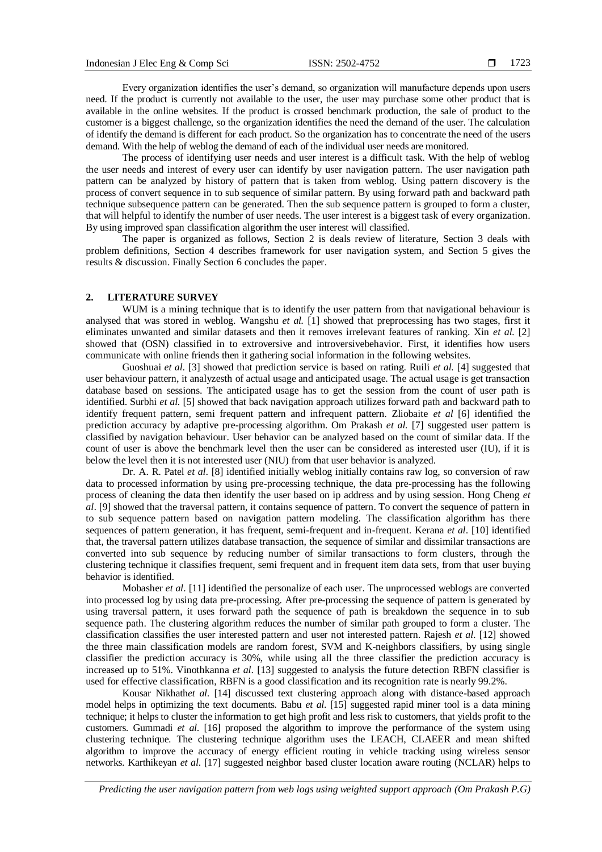Every organization identifies the user's demand, so organization will manufacture depends upon users need. If the product is currently not available to the user, the user may purchase some other product that is available in the online websites. If the product is crossed benchmark production, the sale of product to the customer is a biggest challenge, so the organization identifies the need the demand of the user. The calculation of identify the demand is different for each product. So the organization has to concentrate the need of the users demand. With the help of weblog the demand of each of the individual user needs are monitored.

The process of identifying user needs and user interest is a difficult task. With the help of weblog the user needs and interest of every user can identify by user navigation pattern. The user navigation path pattern can be analyzed by history of pattern that is taken from weblog. Using pattern discovery is the process of convert sequence in to sub sequence of similar pattern. By using forward path and backward path technique subsequence pattern can be generated. Then the sub sequence pattern is grouped to form a cluster, that will helpful to identify the number of user needs. The user interest is a biggest task of every organization. By using improved span classification algorithm the user interest will classified.

The paper is organized as follows, Section 2 is deals review of literature, Section 3 deals with problem definitions, Section 4 describes framework for user navigation system, and Section 5 gives the results & discussion. Finally Section 6 concludes the paper.

# **2. LITERATURE SURVEY**

WUM is a mining technique that is to identify the user pattern from that navigational behaviour is analysed that was stored in weblog. Wangshu *et al.* [1] showed that preprocessing has two stages, first it eliminates unwanted and similar datasets and then it removes irrelevant features of ranking. Xin *et al.* [2] showed that (OSN) classified in to extroversive and introversivebehavior. First, it identifies how users communicate with online friends then it gathering social information in the following websites.

Guoshuai *et al*. [3] showed that prediction service is based on rating. Ruili *et al.* [4] suggested that user behaviour pattern, it analyzesth of actual usage and anticipated usage. The actual usage is get transaction database based on sessions. The anticipated usage has to get the session from the count of user path is identified. Surbhi *et al.* [5] showed that back navigation approach utilizes forward path and backward path to identify frequent pattern, semi frequent pattern and infrequent pattern. Zliobaite *et al* [6] identified the prediction accuracy by adaptive pre-processing algorithm. Om Prakash *et al.* [7] suggested user pattern is classified by navigation behaviour. User behavior can be analyzed based on the count of similar data. If the count of user is above the benchmark level then the user can be considered as interested user (IU), if it is below the level then it is not interested user (NIU) from that user behavior is analyzed.

Dr. A. R. Patel *et al*. [8] identified initially weblog initially contains raw log, so conversion of raw data to processed information by using pre-processing technique, the data pre-processing has the following process of cleaning the data then identify the user based on ip address and by using session. Hong Cheng *et al*. [9] showed that the traversal pattern, it contains sequence of pattern. To convert the sequence of pattern in to sub sequence pattern based on navigation pattern modeling. The classification algorithm has there sequences of pattern generation, it has frequent, semi-frequent and in-frequent. Kerana *et al*. [10] identified that, the traversal pattern utilizes database transaction, the sequence of similar and dissimilar transactions are converted into sub sequence by reducing number of similar transactions to form clusters, through the clustering technique it classifies frequent, semi frequent and in frequent item data sets, from that user buying behavior is identified.

Mobasher *et al*. [11] identified the personalize of each user. The unprocessed weblogs are converted into processed log by using data pre-processing. After pre-processing the sequence of pattern is generated by using traversal pattern, it uses forward path the sequence of path is breakdown the sequence in to sub sequence path. The clustering algorithm reduces the number of similar path grouped to form a cluster. The classification classifies the user interested pattern and user not interested pattern. Rajesh *et al*. [12] showed the three main classification models are random forest, SVM and K-neighbors classifiers, by using single classifier the prediction accuracy is 30%, while using all the three classifier the prediction accuracy is increased up to 51%. Vinothkanna *et al*. [13] suggested to analysis the future detection RBFN classifier is used for effective classification, RBFN is a good classification and its recognition rate is nearly 99.2%.

Kousar Nikhath*et al*. [14] discussed text clustering approach along with distance-based approach model helps in optimizing the text documents. Babu *et al*. [15] suggested rapid miner tool is a data mining technique; it helps to cluster the information to get high profit and less risk to customers, that yields profit to the customers. Gummadi *et al*. [16] proposed the algorithm to improve the performance of the system using clustering technique. The clustering technique algorithm uses the LEACH, CLAEER and mean shifted algorithm to improve the accuracy of energy efficient routing in vehicle tracking using wireless sensor networks. Karthikeyan *et al*. [17] suggested neighbor based cluster location aware routing (NCLAR) helps to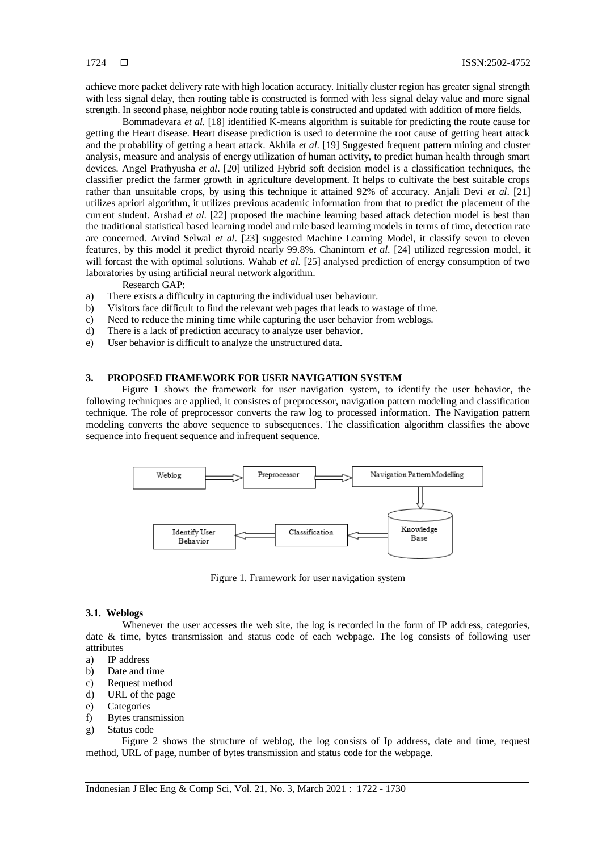achieve more packet delivery rate with high location accuracy. Initially cluster region has greater signal strength with less signal delay, then routing table is constructed is formed with less signal delay value and more signal strength. In second phase, neighbor node routing table is constructed and updated with addition of more fields.

Bommadevara *et al*. [18] identified K-means algorithm is suitable for predicting the route cause for getting the Heart disease. Heart disease prediction is used to determine the root cause of getting heart attack and the probability of getting a heart attack. Akhila *et al*. [19] Suggested frequent pattern mining and cluster analysis, measure and analysis of energy utilization of human activity, to predict human health through smart devices. Angel Prathyusha *et al*. [20] utilized Hybrid soft decision model is a classification techniques, the classifier predict the farmer growth in agriculture development. It helps to cultivate the best suitable crops rather than unsuitable crops, by using this technique it attained 92% of accuracy. Anjali Devi *et al*. [21] utilizes apriori algorithm, it utilizes previous academic information from that to predict the placement of the current student. Arshad *et al*. [22] proposed the machine learning based attack detection model is best than the traditional statistical based learning model and rule based learning models in terms of time, detection rate are concerned. Arvind Selwal *et al*. [23] suggested Machine Learning Model, it classify seven to eleven features, by this model it predict thyroid nearly 99.8%. Chanintorn *et al*. [24] utilized regression model, it will forcast the with optimal solutions. Wahab *et al*. [25] analysed prediction of energy consumption of two laboratories by using artificial neural network algorithm.

Research GAP:

- a) There exists a difficulty in capturing the individual user behaviour.
- b) Visitors face difficult to find the relevant web pages that leads to wastage of time.
- c) Need to reduce the mining time while capturing the user behavior from weblogs.
- d) There is a lack of prediction accuracy to analyze user behavior.
- e) User behavior is difficult to analyze the unstructured data.

#### **3. PROPOSED FRAMEWORK FOR USER NAVIGATION SYSTEM**

Figure 1 shows the framework for user navigation system, to identify the user behavior, the following techniques are applied, it consistes of preprocessor, navigation pattern modeling and classification technique. The role of preprocessor converts the raw log to processed information. The Navigation pattern modeling converts the above sequence to subsequences. The classification algorithm classifies the above sequence into frequent sequence and infrequent sequence.



Figure 1. Framework for user navigation system

#### **3.1. Weblogs**

Whenever the user accesses the web site, the log is recorded in the form of IP address, categories, date & time, bytes transmission and status code of each webpage. The log consists of following user attributes

- a) IP address
- b) Date and time
- c) Request method
- d) URL of the page
- e) Categories
- f) Bytes transmission
- g) Status code

Figure 2 shows the structure of weblog, the log consists of Ip address, date and time, request method, URL of page, number of bytes transmission and status code for the webpage.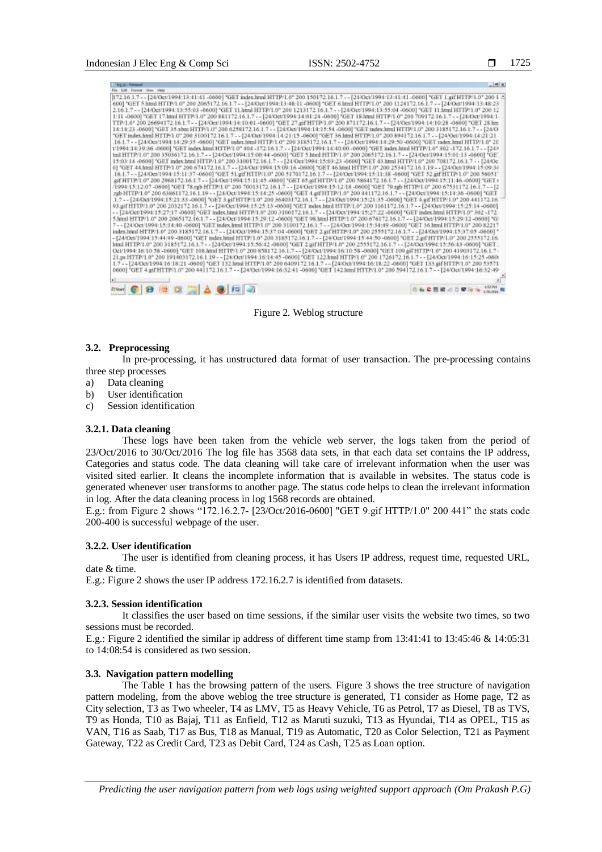1725

| <b>FAR EXP FOREST TERM FROM</b><br>172 16 1.7 - - [24/Oct/1994:13:41:41-0600] "GET index.html HTTP/1.0" 200 150172.16.1.7 - - [24/Oct/1994:13:41:41-0600] "GET 1.gif HTTP/1.0" 200 1 4                                                                                                                                                                                                                                                                                                                                                                                                                                                                                                                                                                                                                                                                                                                                                                                                                                                                                                                                                                                                                                                                                                                                                                                                                                                                                                                                                                                                                                                                                                                                                                                                                                                                                                                                                                                                                                                                                                                                                                                                                                                                                                                                                                                                                                                                                                                                                                                                                                                                                                                                                                                                                                                                                                                                                                                                                                                                                                                                                                                                                                                                                                                                                                                                                                                                                                                                                                                                                                                                                                                                                                                                                                                                                                                                                                                                                                                                                                                                                              |  |
|-----------------------------------------------------------------------------------------------------------------------------------------------------------------------------------------------------------------------------------------------------------------------------------------------------------------------------------------------------------------------------------------------------------------------------------------------------------------------------------------------------------------------------------------------------------------------------------------------------------------------------------------------------------------------------------------------------------------------------------------------------------------------------------------------------------------------------------------------------------------------------------------------------------------------------------------------------------------------------------------------------------------------------------------------------------------------------------------------------------------------------------------------------------------------------------------------------------------------------------------------------------------------------------------------------------------------------------------------------------------------------------------------------------------------------------------------------------------------------------------------------------------------------------------------------------------------------------------------------------------------------------------------------------------------------------------------------------------------------------------------------------------------------------------------------------------------------------------------------------------------------------------------------------------------------------------------------------------------------------------------------------------------------------------------------------------------------------------------------------------------------------------------------------------------------------------------------------------------------------------------------------------------------------------------------------------------------------------------------------------------------------------------------------------------------------------------------------------------------------------------------------------------------------------------------------------------------------------------------------------------------------------------------------------------------------------------------------------------------------------------------------------------------------------------------------------------------------------------------------------------------------------------------------------------------------------------------------------------------------------------------------------------------------------------------------------------------------------------------------------------------------------------------------------------------------------------------------------------------------------------------------------------------------------------------------------------------------------------------------------------------------------------------------------------------------------------------------------------------------------------------------------------------------------------------------------------------------------------------------------------------------------------------------------------------------------------------------------------------------------------------------------------------------------------------------------------------------------------------------------------------------------------------------------------------------------------------------------------------------------------------------------------------------------------------------------------------------------------------------------------------------------------------|--|
|                                                                                                                                                                                                                                                                                                                                                                                                                                                                                                                                                                                                                                                                                                                                                                                                                                                                                                                                                                                                                                                                                                                                                                                                                                                                                                                                                                                                                                                                                                                                                                                                                                                                                                                                                                                                                                                                                                                                                                                                                                                                                                                                                                                                                                                                                                                                                                                                                                                                                                                                                                                                                                                                                                                                                                                                                                                                                                                                                                                                                                                                                                                                                                                                                                                                                                                                                                                                                                                                                                                                                                                                                                                                                                                                                                                                                                                                                                                                                                                                                                                                                                                                                     |  |
| 600] "GET 5.html HTTP/1.0" 200 2065172.16.1.7 - - 124/Qet/1994:13:48:11-0600] "GET 6.html HTTP/1.0" 200 1124172.16.1.7 - - 124/Qet/1994:13:48:23<br>2.16.1.7 - - {24/0ct/1994:13:55:03 -0600} "GET 11.html HTTP/1.0" 200 1213172.16.1.7 - - {24/0ct/1994:13:55:04 -0600] "GET 11.html HTTP/1.0" 200 12<br>1:11-0600 "GET 17.html HTTP/L0" 200 881172.16.1.7 - - [24/Oct/1994:14:01:24-0600] "GET 18.html HTTP/L0" 200 709172.16.1.7 - - [24/Oct/1994:1-<br>TTP/L0" 200 26694172.16.1.7 - - [24/Oct/1994:14:10:01 -0600] "GET 27.gif HTTP/L0" 200 871172.16.1.7 - - [24/Oct/1994:14:10:28 -0600] "GET 28.htm<br>14:14:23-0600] "GET 35.xbm HTTP/1.0" 200 6258172.16.1.7 - - [24/Oct/1994:14:15:54-0600] "GET index.html HTTP/1.0" 200 3185172.16.1.7 - - [24/O<br>"GET index.html HTTP/1.0" 200 3100172.16.1.7 - - {24/Oct/1994:14:21:15-0600] "GET 36.html HTTP/1.0" 200 894172.16.1.7 - - {24/Oct/1994:14:21:21<br>.16.1.7 - - [24/Oct/1994:14:29:35 -0600] "GET index.html HTTP/1.0" 200 3185172.16.1.7 - - [24/Oct/1994:14:29:50 -0600] "GET index.html HTTP/1.0" 20<br>1/1994;14:39:36-0600] "GET index.html HTTP/1.0" 404-172.16.1.7 - - [24/Oct/1994:14:40:00-0600] "GET index.html HTTP/1.0" 302-172.16.1.7 - - [24/<br>mil HTTP/1.0" 200 35036172.16.1.7 - - [24/Oct/1994:15:00:44-0600] "GET 5.html HTTP/1.0" 200 2065172.16.1.7 - - [24/Oct/1994:15:01:13-0600] "GE'<br>15:03:14 -0600] "GET index.html HTTP/1.0" 200 3100172.16.1.7 - - {24/0ct/1994:15:03:23 -0600] "GET 43.html HTTP/1.0" 200 708172.16.1.7 - - [24/0c<br>0] "GET 44.html HTTP/1.0" 200 674172.16.1.7 - - [24/Oct/1994:15:09:16 -0600] "GET 46.html HTTP/1.0" 200 2534172.16.1.19 - - [24/Oct/1994:15:09:34<br>.16.1.7 - - [24/0ct/1994:15:11:37-0600] "GET 51.gif HTTP/1.0" 200 5170172.16.1.7 - - [24/0ct/1994:15:11:38-0600] "GET 52.gif HTTP/1.0" 200 56051"<br>sif HTTP/1.0" 200 2968172.16.1.7 - - [24/Oct/1994:15:11:45 -0600] "GET 65.gif HTTP/1.0" 200 5864172.16.1.7 - - [24/Oct/1994:15:11:46 -0600] "GET (<br>/1994/15:12:07-0600] "GET 78.egb HTTP:1.0" 200 70013172.16.1.7 - - [24/Oct/1994/15:12/18-0600] "GET 79.egb HTTP/1.0" 200 67531172.16.1.7 - - [2<br>.rgb HTTP/1.0" 200 63861172.16.1.19 - - {24/Oct/1994:15:14:25 -0600] "GET 4.gif HTTP/1.0" 200 441172.16.1.7 - - [24/Oct/1994:15:14:36 -0600] "GET<br>.1.7 - - [24/Oct/1994;15:21:33-O600] "GET 3.gif HTTP/1.0" 200.36403172.16.1.7 - - [24/Oct/1994;15:21:35-O600] "GET 4.gif HTTP/1.0" 200.441172.16.<br>93.gif HTTP/1.0" 200 2032172.16.1.7 - - [24/Oct/1994:15:25:13 -0600] "GET index.html HTTP/1.0" 200 1161172.16.1.7 - - [24/Oct/1994:15:25:14 -0600]<br>-- [24/Oct/1994:15:27:17-0600] "GET index.html HTTP/1.0" 200 3100172.16.1.7 -- [24/Oct/1994:15:27:22-0600] "GET index.html HTTP/1.0" 302 -172.<br>5.html HTTP/1.0" 200 2065172.16.1.7 - - [24/Oct/1994:15:29:12-0600] "GET 98.html HTTP:1.0" 200 676172.16.1.7 - - [24/Oct/1994:15:29:12-0600] "G:<br>7-- [24/Oct/1994:15:34:40-0600] "GET index.html HTTP/1.0" 200 3100172.16.1.7 - - [24/Oct/1994:15:34:49-0600] "GET 36.html HTTP/1.0" 200 82217<br>index.html HTTP/1.0" 200 3185172.16.1.7 - - [24/Oct/1994:15:37:04 -0600] "GET 2.gif HTTP/1.0" 200 2555172.16.1.7 - - [24/Oct/1994:15:37:05 -0600] *<br>-{24/Oct/1994:15:44:49-0600} "GET index.html HTTP/1.0" 200 3185172.16.1.7 - - {24/Oct/1994:15:44:30-0600] "GET 2.gif HTTP/1.0" 200 2555172.16:<br>html HTTP/1.0" 200 3185172.16.1.7 - - [24/Oct/1994:15:56:42 -0600] "GET 2 gif HTTP/1.0" 200 2555172.16.1.7 - - [24/Oct/1994:15:56:43 -0600] "GET :<br>Oct/1994:16:10:58-0600) "GET 108.html HTTP/1.0" 200 858172.16.1.7-- [24/Oct/1994:16:10:58-0600] "GET 109aif HTTP/1.0" 200 41903172.16.1.7-<br>21.ps HTTP/1.0" 200 191403172.16.1.19 - - [24/Oct/1994:16:14:45 -0600] "OET 122.html HTTP/1.0" 200 1726172.16.1.7 - - [24/Oct/1994:16:15:25 -060/<br>1.7 -- [24/0ct/1994:16:18:21-0600] "GET 132.html HTTP/1.0" 200 6409172.16.1.7 -- [24/0ct/1994:16:18:22-0600] "GET 133.gif HTTP/1.0" 200 53571<br>0600] "GET 4.gifHTTP/1.0" 200 441172.16.1.7 - - [24/Oct/1994:16:32:41-0600] "GET 142.html HTTP/1.0" 200 594172.16.1.7 - - [24/Oct/1994:16:32:49 |  |
| さらC目線 <0 単位 % 10 M<br>◎ 国人 ● 同期<br>$\rightarrow$<br><b>ETSIMI</b>                                                                                                                                                                                                                                                                                                                                                                                                                                                                                                                                                                                                                                                                                                                                                                                                                                                                                                                                                                                                                                                                                                                                                                                                                                                                                                                                                                                                                                                                                                                                                                                                                                                                                                                                                                                                                                                                                                                                                                                                                                                                                                                                                                                                                                                                                                                                                                                                                                                                                                                                                                                                                                                                                                                                                                                                                                                                                                                                                                                                                                                                                                                                                                                                                                                                                                                                                                                                                                                                                                                                                                                                                                                                                                                                                                                                                                                                                                                                                                                                                                                                                   |  |

Figure 2. Weblog structure

# **3.2. Preprocessing**

In pre-processing, it has unstructured data format of user transaction. The pre-processing contains three step processes

- a) Data cleaning
- b) User identification
- c) Session identification

### **3.2.1. Data cleaning**

These logs have been taken from the vehicle web server, the logs taken from the period of 23/Oct/2016 to 30/Oct/2016 The log file has 3568 data sets, in that each data set contains the IP address, Categories and status code. The data cleaning will take care of irrelevant information when the user was visited sited earlier. It cleans the incomplete information that is available in websites. The status code is generated whenever user transforms to another page. The status code helps to clean the irrelevant information in log. After the data cleaning process in log 1568 records are obtained.

E.g.: from Figure 2 shows "172.16.2.7- [23/Oct/2016-0600] "GET 9.gif HTTP/1.0" 200 441" the stats code 200-400 is successful webpage of the user.

#### **3.2.2. User identification**

The user is identified from cleaning process, it has Users IP address, request time, requested URL, date & time.

E.g.: Figure 2 shows the user IP address 172.16.2.7 is identified from datasets.

#### **3.2.3. Session identification**

It classifies the user based on time sessions, if the similar user visits the website two times, so two sessions must be recorded.

E.g.: Figure 2 identified the similar ip address of different time stamp from 13:41:41 to 13:45:46 & 14:05:31 to 14:08:54 is considered as two session.

### **3.3. Navigation pattern modelling**

The Table 1 has the browsing pattern of the users. Figure 3 shows the tree structure of navigation pattern modeling, from the above weblog the tree structure is generated, T1 consider as Home page, T2 as City selection, T3 as Two wheeler, T4 as LMV, T5 as Heavy Vehicle, T6 as Petrol, T7 as Diesel, T8 as TVS, T9 as Honda, T10 as Bajaj, T11 as Enfield, T12 as Maruti suzuki, T13 as Hyundai, T14 as OPEL, T15 as VAN, T16 as Saab, T17 as Bus, T18 as Manual, T19 as Automatic, T20 as Color Selection, T21 as Payment Gateway, T22 as Credit Card, T23 as Debit Card, T24 as Cash, T25 as Loan option.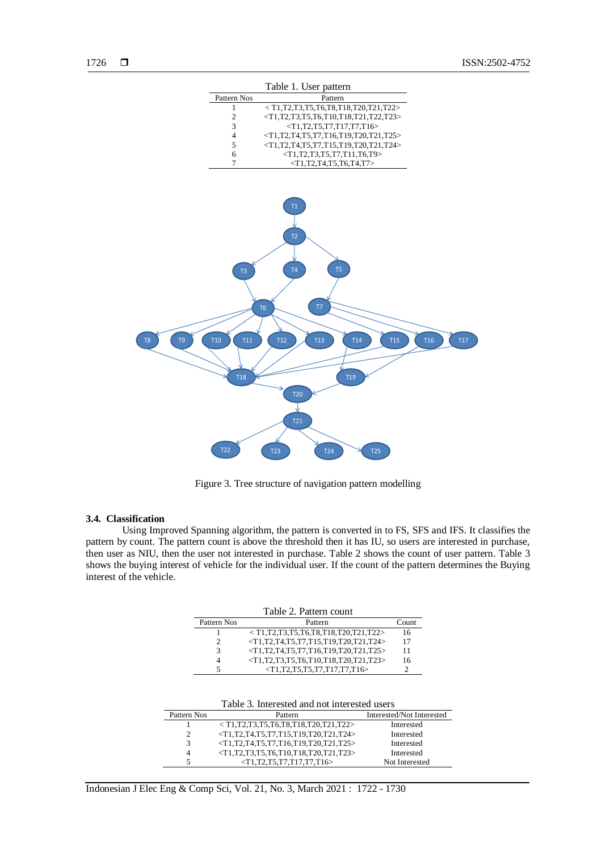

Figure 3. Tree structure of navigation pattern modelling

#### **3.4. Classification**

Using Improved Spanning algorithm, the pattern is converted in to FS, SFS and IFS. It classifies the pattern by count. The pattern count is above the threshold then it has IU, so users are interested in purchase, then user as NIU, then the user not interested in purchase. Table 2 shows the count of user pattern. Table 3 shows the buying interest of vehicle for the individual user. If the count of the pattern determines the Buying interest of the vehicle.

| Table 2. Pattern count |                                                      |       |  |  |  |  |
|------------------------|------------------------------------------------------|-------|--|--|--|--|
| Pattern Nos            | Pattern                                              | Count |  |  |  |  |
|                        | $<$ T1,T2,T3,T5,T6,T8,T18,T20,T21,T22>               | 16    |  |  |  |  |
|                        | $\langle T1,T2,T4,T5,T7,T15,T19,T20,T21,T24\rangle$  | 17    |  |  |  |  |
|                        | $\langle T1,T2,T4,T5,T7,T16,T19,T20,T21,T25 \rangle$ | 11    |  |  |  |  |
|                        | $\langle$ T1,T2,T3,T5,T6,T10,T18,T20,T21,T23>        | 16    |  |  |  |  |
|                        | $\langle T1,T2,T5,T5,T7,T17,T7,T16 \rangle$          |       |  |  |  |  |

| Table 3. Interested and not interested users |                                                      |                           |  |  |  |  |
|----------------------------------------------|------------------------------------------------------|---------------------------|--|--|--|--|
| Pattern Nos                                  | Pattern                                              | Interested/Not Interested |  |  |  |  |
|                                              | $<$ T1,T2,T3,T5,T6,T8,T18,T20,T21,T22>               | Interested                |  |  |  |  |
| 2                                            | $\langle T1,T2,T4,T5,T7,T15,T19,T20,T21,T24\rangle$  | Interested                |  |  |  |  |
| 3                                            | $\langle T1,T2,T4,T5,T7,T16,T19,T20,T21,T25 \rangle$ | Interested                |  |  |  |  |
| $\overline{4}$                               | $\langle T1,T2,T3,T5,T6,T10,T18,T20,T21,T23\rangle$  | Interested                |  |  |  |  |
|                                              | $\langle T1,T2,T5,T7,T17,T7,T16 \rangle$             | Not Interested            |  |  |  |  |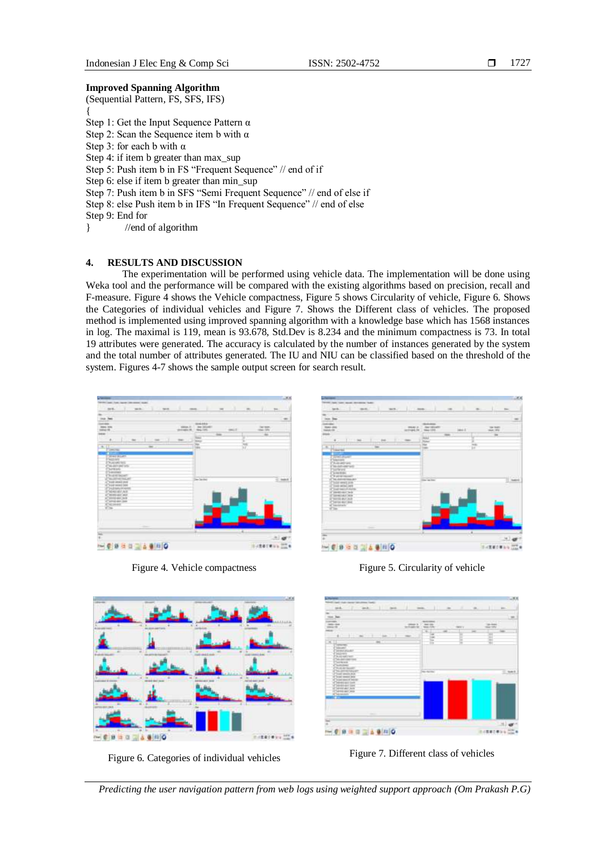## **Improved Spanning Algorithm**

(Sequential Pattern, FS, SFS, IFS) { Step 1: Get the Input Sequence Pattern α Step 2: Scan the Sequence item b with  $\alpha$ Step 3: for each b with α Step 4: if item b greater than max\_sup Step 5: Push item b in FS "Frequent Sequence" // end of if Step 6: else if item b greater than min\_sup Step 7: Push item b in SFS "Semi Frequent Sequence" // end of else if Step 8: else Push item b in IFS "In Frequent Sequence" // end of else Step 9: End for } //end of algorithm

# **4. RESULTS AND DISCUSSION**

The experimentation will be performed using vehicle data. The implementation will be done using Weka tool and the performance will be compared with the existing algorithms based on precision, recall and F-measure. Figure 4 shows the Vehicle compactness, Figure 5 shows Circularity of vehicle, Figure 6. Shows the Categories of individual vehicles and Figure 7. Shows the Different class of vehicles. The proposed method is implemented using improved spanning algorithm with a knowledge base which has 1568 instances in log. The maximal is 119, mean is 93.678, Std.Dev is 8.234 and the minimum compactness is 73. In total 19 attributes were generated. The accuracy is calculated by the number of instances generated by the system and the total number of attributes generated. The IU and NIU can be classified based on the threshold of the system. Figures 4-7 shows the sample output screen for search result.







Figure 6. Categories of individual vehicles Figure 7. Different class of vehicles







*Predicting the user navigation pattern from web logs using weighted support approach (Om Prakash P.G)*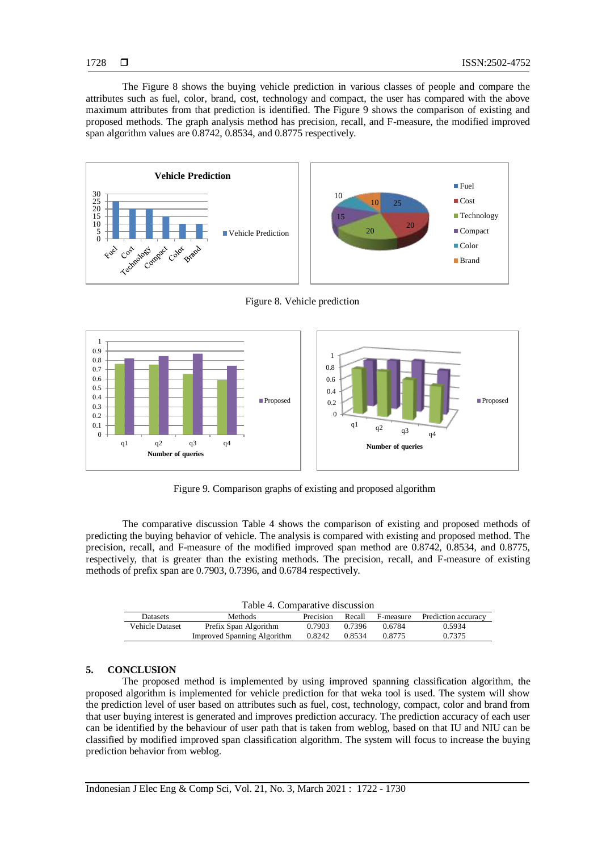The Figure 8 shows the buying vehicle prediction in various classes of people and compare the attributes such as fuel, color, brand, cost, technology and compact, the user has compared with the above maximum attributes from that prediction is identified. The Figure 9 shows the comparison of existing and proposed methods. The graph analysis method has precision, recall, and F-measure, the modified improved span algorithm values are 0.8742, 0.8534, and 0.8775 respectively.



Figure 8. Vehicle prediction



Figure 9. Comparison graphs of existing and proposed algorithm

The comparative discussion Table 4 shows the comparison of existing and proposed methods of predicting the buying behavior of vehicle. The analysis is compared with existing and proposed method. The precision, recall, and F-measure of the modified improved span method are 0.8742, 0.8534, and 0.8775, respectively, that is greater than the existing methods. The precision, recall, and F-measure of existing methods of prefix span are 0.7903, 0.7396, and 0.6784 respectively.

| Table 4. Comparative discussion |                                    |           |        |           |                     |  |  |  |  |
|---------------------------------|------------------------------------|-----------|--------|-----------|---------------------|--|--|--|--|
| <b>Datasets</b>                 | <b>Methods</b>                     | Precision | Recall | F-measure | Prediction accuracy |  |  |  |  |
| Vehicle Dataset                 | Prefix Span Algorithm              | 0.7903    | 0.7396 | 0.6784    | 0.5934              |  |  |  |  |
|                                 | <b>Improved Spanning Algorithm</b> | 0.8242    | 0.8534 | 0.8775    | 0.7375              |  |  |  |  |

# **5. CONCLUSION**

The proposed method is implemented by using improved spanning classification algorithm, the proposed algorithm is implemented for vehicle prediction for that weka tool is used. The system will show the prediction level of user based on attributes such as fuel, cost, technology, compact, color and brand from that user buying interest is generated and improves prediction accuracy. The prediction accuracy of each user can be identified by the behaviour of user path that is taken from weblog, based on that IU and NIU can be classified by modified improved span classification algorithm. The system will focus to increase the buying prediction behavior from weblog.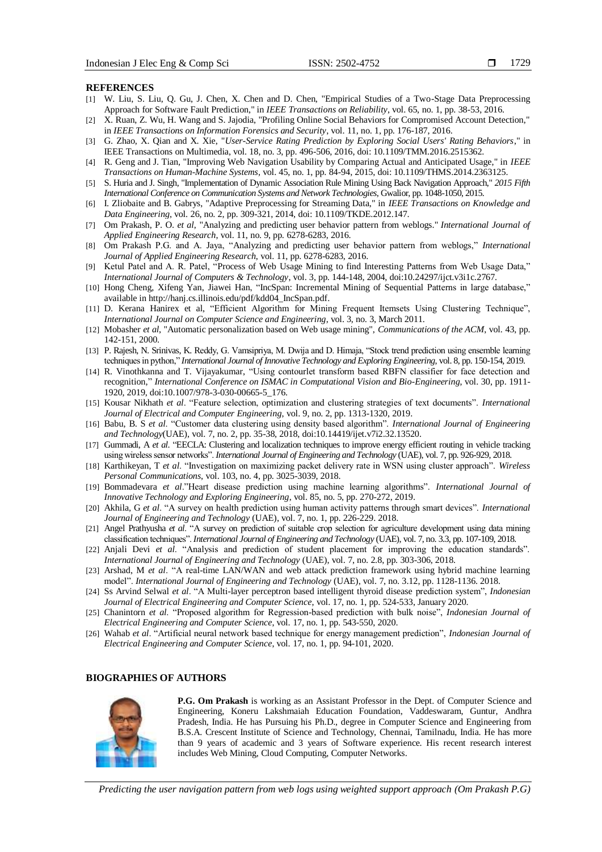#### **REFERENCES**

- [1] W. Liu, S. Liu, Q. Gu, J. Chen, X. Chen and D. Chen, "Empirical Studies of a Two-Stage Data Preprocessing Approach for Software Fault Prediction," in *IEEE Transactions on Reliability*, vol. 65, no. 1, pp. 38-53, 2016.
- [2] X. Ruan, Z. Wu, H. Wang and S. Jajodia, "Profiling Online Social Behaviors for Compromised Account Detection," in *IEEE Transactions on Information Forensics and Security*, vol. 11, no. 1, pp. 176-187, 2016.
- [3] G. Zhao, X. Qian and X. Xie, "*User-Service Rating Prediction by Exploring Social Users' Rating Behaviors*," in IEEE Transactions on Multimedia, vol. 18, no. 3, pp. 496-506, 2016, doi: 10.1109/TMM.2016.2515362.
- [4] R. Geng and J. Tian, "Improving Web Navigation Usability by Comparing Actual and Anticipated Usage," in *IEEE Transactions on Human-Machine Systems,* vol. 45, no. 1, pp. 84-94, 2015, doi: 10.1109/THMS.2014.2363125.
- [5] S. Huria and J. Singh, "Implementation of Dynamic Association Rule Mining Using Back Navigation Approach," *2015 Fifth International Conference on Communication Systems and Network Technologies*, Gwalior, pp. 1048-1050, 2015.
- [6] I. Zliobaite and B. Gabrys, "Adaptive Preprocessing for Streaming Data," in *IEEE Transactions on Knowledge and Data Engineering*, vol. 26, no. 2, pp. 309-321, 2014, doi: 10.1109/TKDE.2012.147.
- [7] Om Prakash, P. O. *et al*, "Analyzing and predicting user behavior pattern from weblogs." *International Journal of Applied Engineering Research*, vol. 11, no. 9, pp. 6278-6283, 2016.
- [8] Om Prakash P.G. and A. Jaya, "Analyzing and predicting user behavior pattern from weblogs," *International Journal of Applied Engineering Research*, vol. 11, pp. 6278-6283, 2016.
- [9] Ketul Patel and A. R. Patel, "Process of Web Usage Mining to find Interesting Patterns from Web Usage Data," *International Journal of Computers & Technology*, vol. 3, pp. 144-148, 2004, doi:10.24297/ijct.v3i1c.2767.
- [10] Hong Cheng, Xifeng Yan, Jiawei Han, "IncSpan: Incremental Mining of Sequential Patterns in large database," available in http://hanj.cs.illinois.edu/pdf/kdd04\_IncSpan.pdf.
- [11] D. Kerana Hanirex et al, "Efficient Algorithm for Mining Frequent Itemsets Using Clustering Technique", *International Journal on Computer Science and Engineering*, vol. 3, no. 3, March 2011.
- [12] Mobasher *et al*, "Automatic personalization based on Web usage mining", *Communications of the ACM*, vol. 43, pp. 142-151, 2000.
- [13] P. Rajesh, N. Srinivas, K. Reddy, G. Vamsipriya, M. Dwija and D. Himaja, "Stock trend prediction using ensemble learning techniques in python," *International Journal of Innovative Technology and Exploring Engineering*, vol. 8, pp. 150-154, 2019.
- [14] R. Vinothkanna and T. Vijayakumar, "Using contourlet transform based RBFN classifier for face detection and recognition," *[International Conference on ISMAC in Computational Vision and Bio-Engineering](https://link.springer.com/conference/ismac)*, vol. 30, pp. 1911- 1920, 2019, doi:10.1007/978-3-030-00665-5\_176.
- [15] Kousar Nikhath *et al*. "Feature selection, optimization and clustering strategies of text documents". *International Journal of Electrical and Computer Engineering*, vol. 9, no. 2, pp. 1313-1320, 2019.
- [16] Babu, B. S *et al*. "Customer data clustering using density based algorithm". *International Journal of Engineering and Technology*(UAE), vol. 7, no. 2, pp. 35-38, 2018, doi:10.14419/ijet.v7i2.32.13520.
- [17] Gummadi, A *et al*. "EECLA: Clustering and localization techniques to improve energy efficient routing in vehicle tracking using wireless sensor networks". *International Journal of Engineering and Technology* (UAE), vol. 7, pp. 926-929, 2018.
- [18] Karthikeyan, T *et al*. "Investigation on maximizing packet delivery rate in WSN using cluster approach". *Wireless Personal Communications*, vol. 103, no. 4, pp. 3025-3039, 2018.
- [19] Bommadevara *et al*."Heart disease prediction using machine learning algorithms". *International Journal of Innovative Technology and Exploring Engineering*, vol. 85, no. 5, pp. 270-272, 2019.
- [20] Akhila, G *et al*. "A survey on health prediction using human activity patterns through smart devices". *International Journal of Engineering and Technology* (UAE), vol. 7, no. 1, pp. 226-229. 2018.
- [21] Angel Prathyusha *et al*. "A survey on prediction of suitable crop selection for agriculture development using data mining classification techniques". *International Journal of Engineering and Technology* (UAE), vol. 7, no. 3.3, pp. 107-109, 2018.
- [22] Anjali Devi *et al*. "Analysis and prediction of student placement for improving the education standards". *International Journal of Engineering and Technology* (UAE), vol. 7, no. 2.8, pp. 303-306, 2018.
- [23] Arshad, M *et al*. "A real-time LAN/WAN and web attack prediction framework using hybrid machine learning model". *International Journal of Engineering and Technology* (UAE), vol. 7, no. 3.12, pp. 1128-1136. 2018.
- [24] Ss Arvind Selwal *et al*. "A Multi-layer perceptron based intelligent thyroid disease prediction system", *Indonesian Journal of Electrical Engineering and Computer Science*, vol. 17, no. 1, pp. 524-533, January 2020.
- [25] Chanintorn *et al*. "Proposed algorithm for Regression-based prediction with bulk noise", *Indonesian Journal of Electrical Engineering and Computer Science*, vol. 17, no. 1, pp. 543-550, 2020.
- [26] Wahab *et al*. "Artificial neural network based technique for energy management prediction", *Indonesian Journal of Electrical Engineering and Computer Science*, vol. 17, no. 1, pp. 94-101, 2020.

#### **BIOGRAPHIES OF AUTHORS**



**P.G. Om Prakash** is working as an Assistant Professor in the Dept. of Computer Science and Engineering, Koneru Lakshmaiah Education Foundation, Vaddeswaram, Guntur, Andhra Pradesh, India. He has Pursuing his Ph.D., degree in Computer Science and Engineering from B.S.A. Crescent Institute of Science and Technology, Chennai, Tamilnadu, India. He has more than 9 years of academic and 3 years of Software experience. His recent research interest includes Web Mining, Cloud Computing, Computer Networks.

*Predicting the user navigation pattern from web logs using weighted support approach (Om Prakash P.G)*